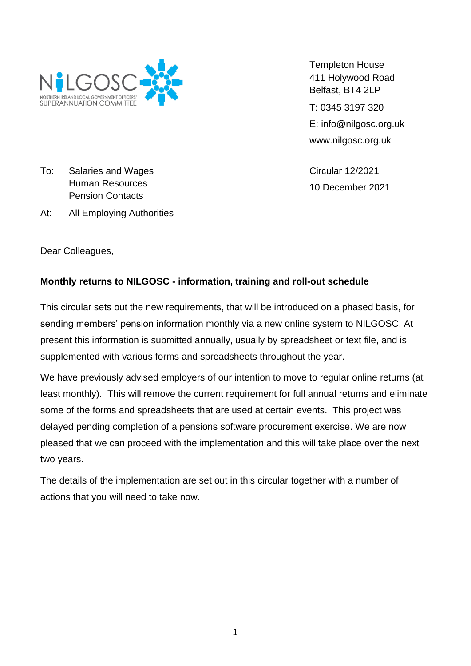

Templeton House 411 Holywood Road Belfast, BT4 2LP T: 0345 3197 320 E: info@nilgosc.org.uk www.nilgosc.org.uk

Circular 12/2021 10 December 2021

To: Salaries and Wages Human Resources Pension Contacts

At: All Employing Authorities

Dear Colleagues,

# **Monthly returns to NILGOSC - information, training and roll-out schedule**

This circular sets out the new requirements, that will be introduced on a phased basis, for sending members' pension information monthly via a new online system to NILGOSC. At present this information is submitted annually, usually by spreadsheet or text file, and is supplemented with various forms and spreadsheets throughout the year.

We have previously advised employers of our intention to move to regular online returns (at least monthly). This will remove the current requirement for full annual returns and eliminate some of the forms and spreadsheets that are used at certain events. This project was delayed pending completion of a pensions software procurement exercise. We are now pleased that we can proceed with the implementation and this will take place over the next two years.

The details of the implementation are set out in this circular together with a number of actions that you will need to take now.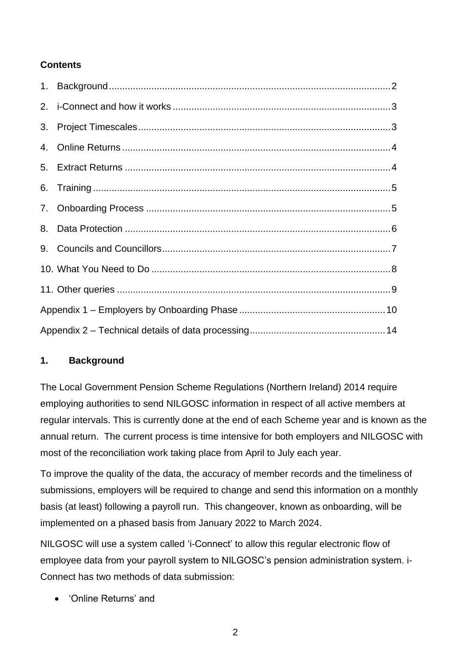## **Contents**

## <span id="page-1-0"></span>**1. Background**

The Local Government Pension Scheme Regulations (Northern Ireland) 2014 require employing authorities to send NILGOSC information in respect of all active members at regular intervals. This is currently done at the end of each Scheme year and is known as the annual return. The current process is time intensive for both employers and NILGOSC with most of the reconciliation work taking place from April to July each year.

To improve the quality of the data, the accuracy of member records and the timeliness of submissions, employers will be required to change and send this information on a monthly basis (at least) following a payroll run. This changeover, known as onboarding, will be implemented on a phased basis from January 2022 to March 2024.

NILGOSC will use a system called 'i-Connect' to allow this regular electronic flow of employee data from your payroll system to NILGOSC's pension administration system. i-Connect has two methods of data submission:

• 'Online Returns' and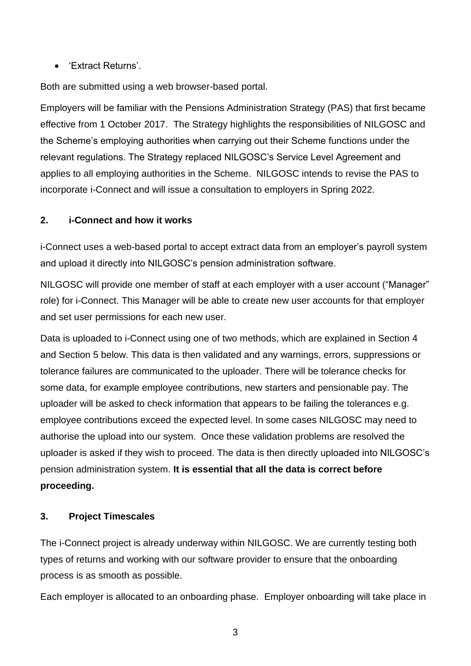• 'Extract Returns'.

Both are submitted using a web browser-based portal.

Employers will be familiar with the Pensions Administration Strategy (PAS) that first became effective from 1 October 2017. The Strategy highlights the responsibilities of NILGOSC and the Scheme's employing authorities when carrying out their Scheme functions under the relevant regulations. The Strategy replaced NILGOSC's Service Level Agreement and applies to all employing authorities in the Scheme. NILGOSC intends to revise the PAS to incorporate i-Connect and will issue a consultation to employers in Spring 2022.

## <span id="page-2-0"></span>**2. i-Connect and how it works**

i-Connect uses a web-based portal to accept extract data from an employer's payroll system and upload it directly into NILGOSC's pension administration software.

NILGOSC will provide one member of staff at each employer with a user account ("Manager" role) for i-Connect. This Manager will be able to create new user accounts for that employer and set user permissions for each new user.

Data is uploaded to i-Connect using one of two methods, which are explained in Section 4 and Section 5 below. This data is then validated and any warnings, errors, suppressions or tolerance failures are communicated to the uploader. There will be tolerance checks for some data, for example employee contributions, new starters and pensionable pay. The uploader will be asked to check information that appears to be failing the tolerances e.g. employee contributions exceed the expected level. In some cases NILGOSC may need to authorise the upload into our system. Once these validation problems are resolved the uploader is asked if they wish to proceed. The data is then directly uploaded into NILGOSC's pension administration system. **It is essential that all the data is correct before proceeding.**

### <span id="page-2-1"></span>**3. Project Timescales**

The i-Connect project is already underway within NILGOSC. We are currently testing both types of returns and working with our software provider to ensure that the onboarding process is as smooth as possible.

Each employer is allocated to an onboarding phase. Employer onboarding will take place in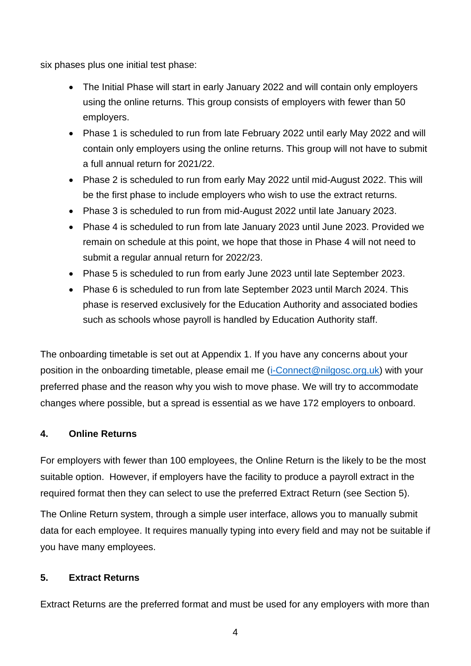six phases plus one initial test phase:

- The Initial Phase will start in early January 2022 and will contain only employers using the online returns. This group consists of employers with fewer than 50 employers.
- Phase 1 is scheduled to run from late February 2022 until early May 2022 and will contain only employers using the online returns. This group will not have to submit a full annual return for 2021/22.
- Phase 2 is scheduled to run from early May 2022 until mid-August 2022. This will be the first phase to include employers who wish to use the extract returns.
- Phase 3 is scheduled to run from mid-August 2022 until late January 2023.
- Phase 4 is scheduled to run from late January 2023 until June 2023. Provided we remain on schedule at this point, we hope that those in Phase 4 will not need to submit a regular annual return for 2022/23.
- Phase 5 is scheduled to run from early June 2023 until late September 2023.
- Phase 6 is scheduled to run from late September 2023 until March 2024. This phase is reserved exclusively for the Education Authority and associated bodies such as schools whose payroll is handled by Education Authority staff.

The onboarding timetable is set out at Appendix 1. If you have any concerns about your position in the onboarding timetable, please email me [\(i-Connect@nilgosc.org.uk\)](mailto:i-Connect@nilgosc.org.uk) with your preferred phase and the reason why you wish to move phase. We will try to accommodate changes where possible, but a spread is essential as we have 172 employers to onboard.

### <span id="page-3-0"></span>**4. Online Returns**

For employers with fewer than 100 employees, the Online Return is the likely to be the most suitable option. However, if employers have the facility to produce a payroll extract in the required format then they can select to use the preferred Extract Return (see Section 5).

The Online Return system, through a simple user interface, allows you to manually submit data for each employee. It requires manually typing into every field and may not be suitable if you have many employees.

### <span id="page-3-1"></span>**5. Extract Returns**

Extract Returns are the preferred format and must be used for any employers with more than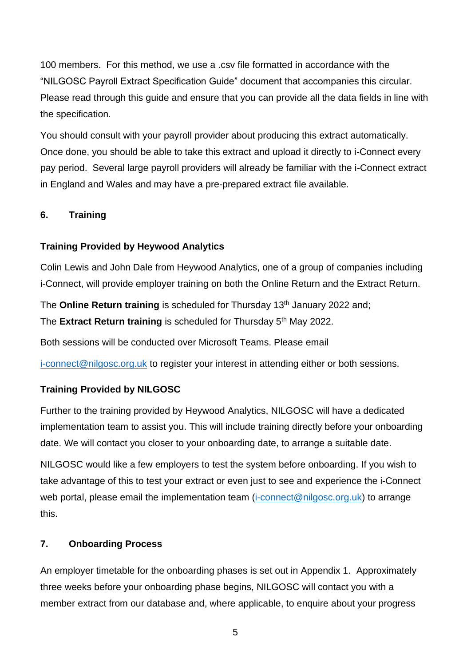100 members. For this method, we use a .csv file formatted in accordance with the "NILGOSC Payroll Extract Specification Guide" document that accompanies this circular. Please read through this guide and ensure that you can provide all the data fields in line with the specification.

You should consult with your payroll provider about producing this extract automatically. Once done, you should be able to take this extract and upload it directly to i-Connect every pay period. Several large payroll providers will already be familiar with the i-Connect extract in England and Wales and may have a pre-prepared extract file available.

## <span id="page-4-0"></span>**6. Training**

### **Training Provided by Heywood Analytics**

Colin Lewis and John Dale from Heywood Analytics, one of a group of companies including i-Connect, will provide employer training on both the Online Return and the Extract Return.

The **Online Return training** is scheduled for Thursday 13<sup>th</sup> January 2022 and; The **Extract Return training** is scheduled for Thursday 5<sup>th</sup> May 2022.

Both sessions will be conducted over Microsoft Teams. Please email

[i-connect@nilgosc.org.uk](mailto:i-connect@nilgosc.org.uk) to register your interest in attending either or both sessions.

## **Training Provided by NILGOSC**

Further to the training provided by Heywood Analytics, NILGOSC will have a dedicated implementation team to assist you. This will include training directly before your onboarding date. We will contact you closer to your onboarding date, to arrange a suitable date.

NILGOSC would like a few employers to test the system before onboarding. If you wish to take advantage of this to test your extract or even just to see and experience the i-Connect web portal, please email the implementation team [\(i-connect@nilgosc.org.uk\)](mailto:i-connect@nilgosc.org.uk) to arrange this.

### <span id="page-4-1"></span>**7. Onboarding Process**

An employer timetable for the onboarding phases is set out in Appendix 1. Approximately three weeks before your onboarding phase begins, NILGOSC will contact you with a member extract from our database and, where applicable, to enquire about your progress

5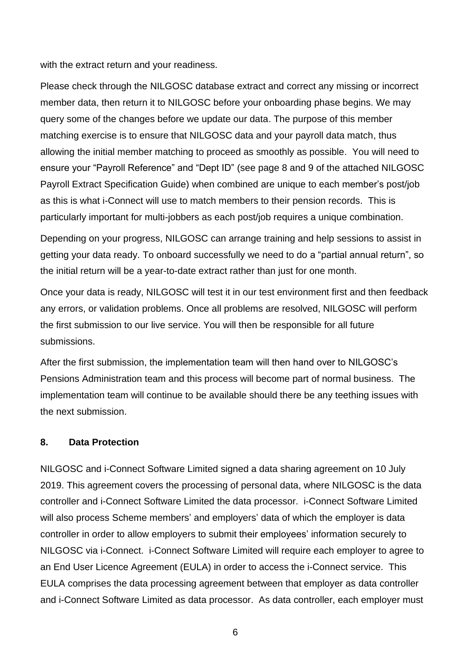with the extract return and your readiness.

Please check through the NILGOSC database extract and correct any missing or incorrect member data, then return it to NILGOSC before your onboarding phase begins. We may query some of the changes before we update our data. The purpose of this member matching exercise is to ensure that NILGOSC data and your payroll data match, thus allowing the initial member matching to proceed as smoothly as possible. You will need to ensure your "Payroll Reference" and "Dept ID" (see page 8 and 9 of the attached NILGOSC Payroll Extract Specification Guide) when combined are unique to each member's post/job as this is what i-Connect will use to match members to their pension records. This is particularly important for multi-jobbers as each post/job requires a unique combination.

Depending on your progress, NILGOSC can arrange training and help sessions to assist in getting your data ready. To onboard successfully we need to do a "partial annual return", so the initial return will be a year-to-date extract rather than just for one month.

Once your data is ready, NILGOSC will test it in our test environment first and then feedback any errors, or validation problems. Once all problems are resolved, NILGOSC will perform the first submission to our live service. You will then be responsible for all future submissions.

After the first submission, the implementation team will then hand over to NILGOSC's Pensions Administration team and this process will become part of normal business. The implementation team will continue to be available should there be any teething issues with the next submission.

### <span id="page-5-0"></span>**8. Data Protection**

NILGOSC and i-Connect Software Limited signed a data sharing agreement on 10 July 2019. This agreement covers the processing of personal data, where NILGOSC is the data controller and i-Connect Software Limited the data processor. i-Connect Software Limited will also process Scheme members' and employers' data of which the employer is data controller in order to allow employers to submit their employees' information securely to NILGOSC via i-Connect. i-Connect Software Limited will require each employer to agree to an End User Licence Agreement (EULA) in order to access the i-Connect service. This EULA comprises the data processing agreement between that employer as data controller and i-Connect Software Limited as data processor. As data controller, each employer must

6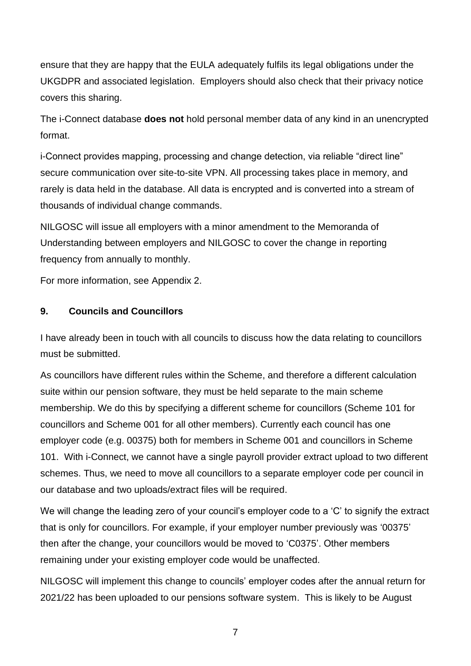ensure that they are happy that the EULA adequately fulfils its legal obligations under the UKGDPR and associated legislation. Employers should also check that their privacy notice covers this sharing.

The i-Connect database **does not** hold personal member data of any kind in an unencrypted format.

i-Connect provides mapping, processing and change detection, via reliable "direct line" secure communication over site-to-site VPN. All processing takes place in memory, and rarely is data held in the database. All data is encrypted and is converted into a stream of thousands of individual change commands.

NILGOSC will issue all employers with a minor amendment to the Memoranda of Understanding between employers and NILGOSC to cover the change in reporting frequency from annually to monthly.

For more information, see Appendix 2.

### <span id="page-6-0"></span>**9. Councils and Councillors**

I have already been in touch with all councils to discuss how the data relating to councillors must be submitted.

As councillors have different rules within the Scheme, and therefore a different calculation suite within our pension software, they must be held separate to the main scheme membership. We do this by specifying a different scheme for councillors (Scheme 101 for councillors and Scheme 001 for all other members). Currently each council has one employer code (e.g. 00375) both for members in Scheme 001 and councillors in Scheme 101. With i-Connect, we cannot have a single payroll provider extract upload to two different schemes. Thus, we need to move all councillors to a separate employer code per council in our database and two uploads/extract files will be required.

We will change the leading zero of your council's employer code to a 'C' to signify the extract that is only for councillors. For example, if your employer number previously was '00375' then after the change, your councillors would be moved to 'C0375'. Other members remaining under your existing employer code would be unaffected.

NILGOSC will implement this change to councils' employer codes after the annual return for 2021/22 has been uploaded to our pensions software system. This is likely to be August

7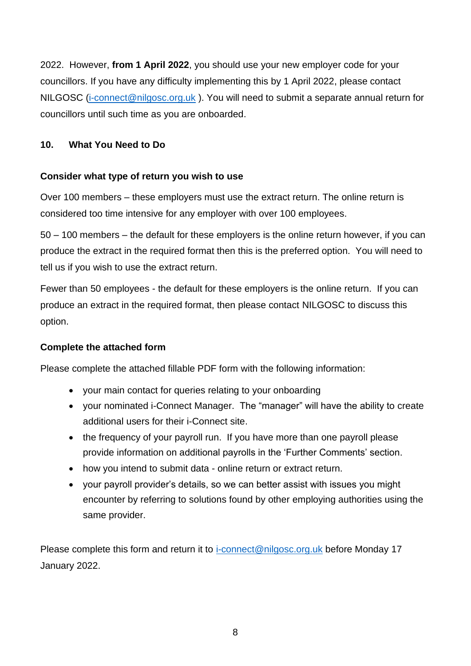2022. However, **from 1 April 2022**, you should use your new employer code for your councillors. If you have any difficulty implementing this by 1 April 2022, please contact NILGOSC [\(i-connect@nilgosc.org.uk](mailto:i-connect@nilgosc.org.uk)). You will need to submit a separate annual return for councillors until such time as you are onboarded.

### <span id="page-7-0"></span>**10. What You Need to Do**

### **Consider what type of return you wish to use**

Over 100 members – these employers must use the extract return. The online return is considered too time intensive for any employer with over 100 employees.

50 – 100 members – the default for these employers is the online return however, if you can produce the extract in the required format then this is the preferred option. You will need to tell us if you wish to use the extract return.

Fewer than 50 employees - the default for these employers is the online return. If you can produce an extract in the required format, then please contact NILGOSC to discuss this option.

### **Complete the attached form**

Please complete the attached fillable PDF form with the following information:

- your main contact for queries relating to your onboarding
- your nominated i-Connect Manager. The "manager" will have the ability to create additional users for their i-Connect site.
- the frequency of your payroll run. If you have more than one payroll please provide information on additional payrolls in the 'Further Comments' section.
- how you intend to submit data online return or extract return.
- your payroll provider's details, so we can better assist with issues you might encounter by referring to solutions found by other employing authorities using the same provider.

Please complete this form and return it to [i-connect@nilgosc.org.uk](mailto:i-connect@nilgosc.org.uk) before Monday 17 January 2022.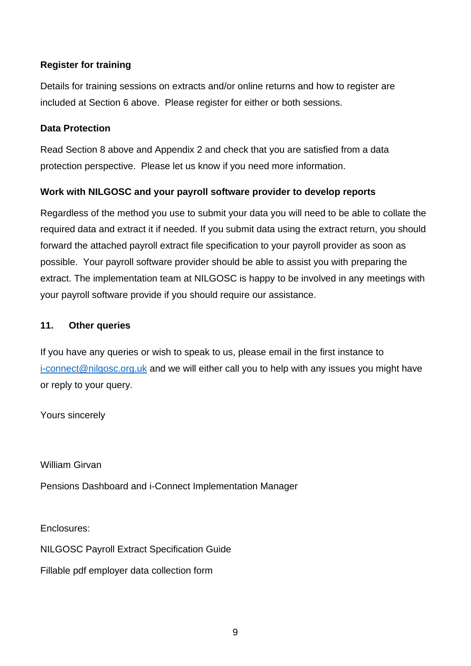### **Register for training**

Details for training sessions on extracts and/or online returns and how to register are included at Section 6 above. Please register for either or both sessions.

#### **Data Protection**

Read Section 8 above and Appendix 2 and check that you are satisfied from a data protection perspective. Please let us know if you need more information.

### **Work with NILGOSC and your payroll software provider to develop reports**

Regardless of the method you use to submit your data you will need to be able to collate the required data and extract it if needed. If you submit data using the extract return, you should forward the attached payroll extract file specification to your payroll provider as soon as possible. Your payroll software provider should be able to assist you with preparing the extract. The implementation team at NILGOSC is happy to be involved in any meetings with your payroll software provide if you should require our assistance.

#### <span id="page-8-0"></span>**11. Other queries**

If you have any queries or wish to speak to us, please email in the first instance to [i-connect@nilgosc.org.uk](mailto:i-connect@nilgosc.org.uk) and we will either call you to help with any issues you might have or reply to your query.

Yours sincerely

William Girvan

Pensions Dashboard and i-Connect Implementation Manager

Enclosures:

NILGOSC Payroll Extract Specification Guide

Fillable pdf employer data collection form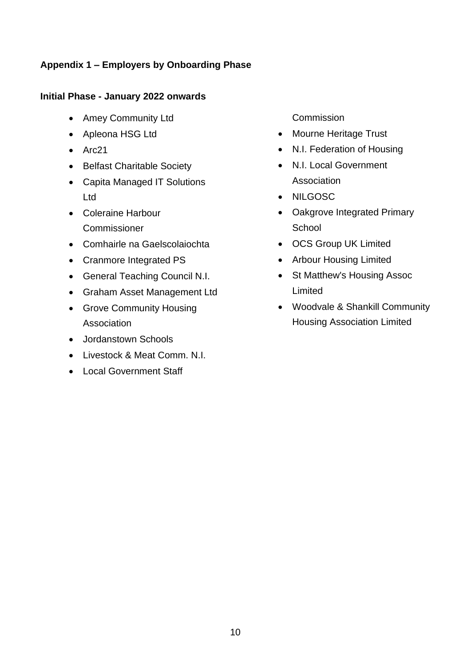## <span id="page-9-0"></span>**Appendix 1 – Employers by Onboarding Phase**

### **Initial Phase - January 2022 onwards**

- Amey Community Ltd
- Apleona HSG Ltd
- Arc21
- Belfast Charitable Society
- Capita Managed IT Solutions Ltd
- Coleraine Harbour **Commissioner**
- Comhairle na Gaelscolaiochta
- Cranmore Integrated PS
- General Teaching Council N.I.
- Graham Asset Management Ltd
- Grove Community Housing Association
- Jordanstown Schools
- Livestock & Meat Comm. N.I.
- Local Government Staff

Commission

- Mourne Heritage Trust
- N.I. Federation of Housing
- N.I. Local Government Association
- NILGOSC
- Oakgrove Integrated Primary **School**
- OCS Group UK Limited
- Arbour Housing Limited
- St Matthew's Housing Assoc Limited
- Woodvale & Shankill Community Housing Association Limited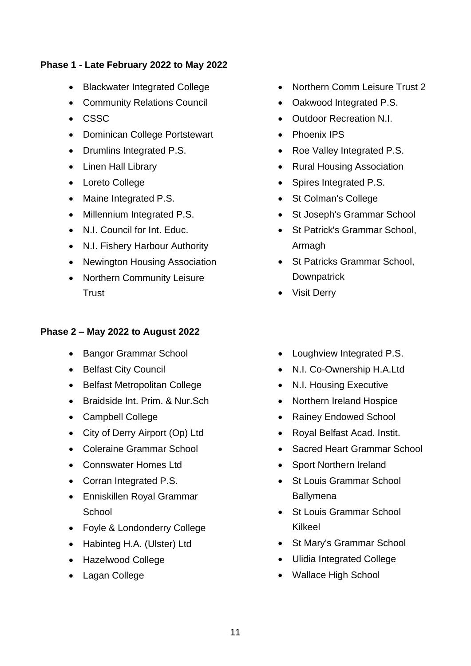### **Phase 1 - Late February 2022 to May 2022**

- Blackwater Integrated College
- Community Relations Council
- CSSC
- Dominican College Portstewart
- Drumlins Integrated P.S.
- Linen Hall Library
- Loreto College
- Maine Integrated P.S.
- Millennium Integrated P.S.
- N.I. Council for Int. Educ.
- N.I. Fishery Harbour Authority
- Newington Housing Association
- Northern Community Leisure **Trust**

### **Phase 2 – May 2022 to August 2022**

- Bangor Grammar School
- Belfast City Council
- Belfast Metropolitan College
- Braidside Int. Prim. & Nur.Sch
- Campbell College
- City of Derry Airport (Op) Ltd
- Coleraine Grammar School
- Connswater Homes Ltd
- Corran Integrated P.S.
- Enniskillen Royal Grammar **School**
- Foyle & Londonderry College
- Habinteg H.A. (Ulster) Ltd
- Hazelwood College
- Lagan College
- Northern Comm Leisure Trust 2
- Oakwood Integrated P.S.
- Outdoor Recreation N.I.
- Phoenix IPS
- Roe Valley Integrated P.S.
- Rural Housing Association
- Spires Integrated P.S.
- St Colman's College
- St Joseph's Grammar School
- St Patrick's Grammar School, Armagh
- St Patricks Grammar School. **Downpatrick**
- Visit Derry
- Loughview Integrated P.S.
- N.I. Co-Ownership H.A.Ltd
- N.I. Housing Executive
- Northern Ireland Hospice
- Rainey Endowed School
- Royal Belfast Acad. Instit.
- Sacred Heart Grammar School
- Sport Northern Ireland
- St Louis Grammar School **Ballymena**
- St Louis Grammar School Kilkeel
- St Mary's Grammar School
- Ulidia Integrated College
- Wallace High School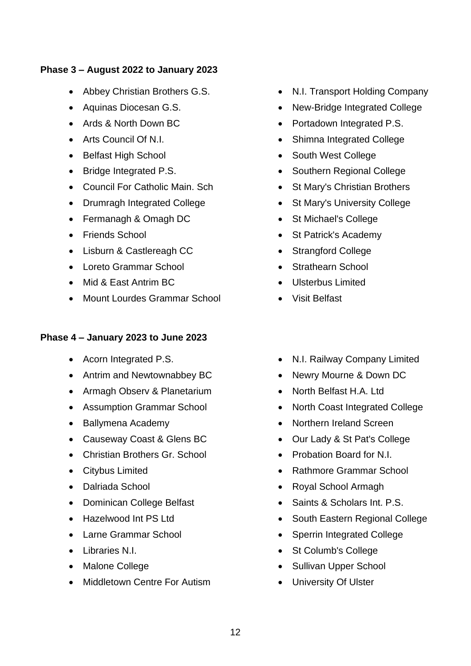#### **Phase 3 – August 2022 to January 2023**

- Abbey Christian Brothers G.S.
- Aquinas Diocesan G.S.
- Ards & North Down BC
- Arts Council Of N.I.
- Belfast High School
- Bridge Integrated P.S.
- Council For Catholic Main. Sch
- Drumragh Integrated College
- Fermanagh & Omagh DC
- Friends School
- Lisburn & Castlereagh CC
- Loreto Grammar School
- Mid & East Antrim BC
- Mount Lourdes Grammar School

#### **Phase 4 – January 2023 to June 2023**

- Acorn Integrated P.S.
- Antrim and Newtownabbey BC
- Armagh Observ & Planetarium
- Assumption Grammar School
- Ballymena Academy
- Causeway Coast & Glens BC
- Christian Brothers Gr. School
- Citybus Limited
- Dalriada School
- Dominican College Belfast
- Hazelwood Int PS Ltd
- Larne Grammar School
- Libraries N.I.
- Malone College
- Middletown Centre For Autism
- N.I. Transport Holding Company
- New-Bridge Integrated College
- Portadown Integrated P.S.
- Shimna Integrated College
- South West College
- Southern Regional College
- St Mary's Christian Brothers
- St Mary's University College
- St Michael's College
- St Patrick's Academy
- Strangford College
- Strathearn School
- Ulsterbus Limited
- Visit Belfast
- N.I. Railway Company Limited
- Newry Mourne & Down DC
- North Belfast H.A. Ltd
- North Coast Integrated College
- Northern Ireland Screen
- Our Lady & St Pat's College
- Probation Board for N.I.
- Rathmore Grammar School
- Royal School Armagh
- Saints & Scholars Int. P.S.
- South Eastern Regional College
- Sperrin Integrated College
- St Columb's College
- Sullivan Upper School
- University Of Ulster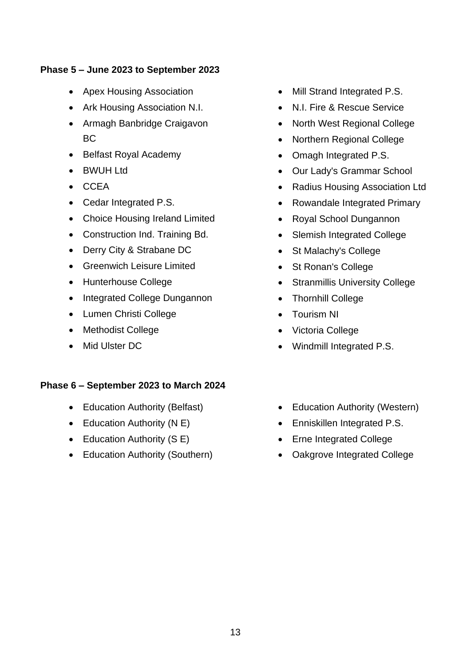#### **Phase 5 – June 2023 to September 2023**

- Apex Housing Association
- Ark Housing Association N.I.
- Armagh Banbridge Craigavon BC
- Belfast Royal Academy
- BWUH Ltd
- CCEA
- Cedar Integrated P.S.
- Choice Housing Ireland Limited
- Construction Ind. Training Bd.
- Derry City & Strabane DC
- Greenwich Leisure Limited
- Hunterhouse College
- Integrated College Dungannon
- Lumen Christi College
- Methodist College
- Mid Ulster DC

#### **Phase 6 – September 2023 to March 2024**

- Education Authority (Belfast)
- Education Authority (N E)
- Education Authority (S E)
- Education Authority (Southern)
- Mill Strand Integrated P.S.
- N.I. Fire & Rescue Service
- North West Regional College
- Northern Regional College
- Omagh Integrated P.S.
- Our Lady's Grammar School
- Radius Housing Association Ltd
- Rowandale Integrated Primary
- Royal School Dungannon
- Slemish Integrated College
- St Malachy's College
- St Ronan's College
- Stranmillis University College
- Thornhill College
- Tourism NI
- Victoria College
- Windmill Integrated P.S.
- Education Authority (Western)
- Enniskillen Integrated P.S.
- Erne Integrated College
- Oakgrove Integrated College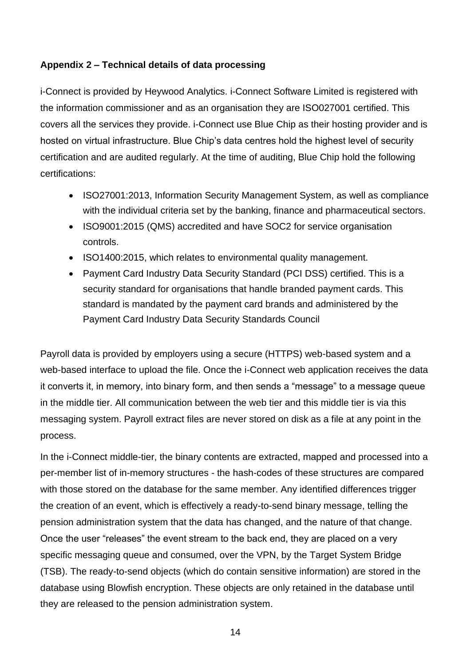### <span id="page-13-0"></span>**Appendix 2 – Technical details of data processing**

i-Connect is provided by Heywood Analytics. i-Connect Software Limited is registered with the information commissioner and as an organisation they are ISO027001 certified. This covers all the services they provide. i-Connect use Blue Chip as their hosting provider and is hosted on virtual infrastructure. Blue Chip's data centres hold the highest level of security certification and are audited regularly. At the time of auditing, Blue Chip hold the following certifications:

- ISO27001:2013, Information Security Management System, as well as compliance with the individual criteria set by the banking, finance and pharmaceutical sectors.
- ISO9001:2015 (QMS) accredited and have SOC2 for service organisation controls.
- ISO1400:2015, which relates to environmental quality management.
- Payment Card Industry Data Security Standard (PCI DSS) certified. This is a security standard for organisations that handle branded payment cards. This standard is mandated by the payment card brands and administered by the Payment Card Industry Data Security Standards Council

Payroll data is provided by employers using a secure (HTTPS) web-based system and a web-based interface to upload the file. Once the i-Connect web application receives the data it converts it, in memory, into binary form, and then sends a "message" to a message queue in the middle tier. All communication between the web tier and this middle tier is via this messaging system. Payroll extract files are never stored on disk as a file at any point in the process.

In the i-Connect middle-tier, the binary contents are extracted, mapped and processed into a per-member list of in-memory structures - the hash-codes of these structures are compared with those stored on the database for the same member. Any identified differences trigger the creation of an event, which is effectively a ready-to-send binary message, telling the pension administration system that the data has changed, and the nature of that change. Once the user "releases" the event stream to the back end, they are placed on a very specific messaging queue and consumed, over the VPN, by the Target System Bridge (TSB). The ready-to-send objects (which do contain sensitive information) are stored in the database using Blowfish encryption. These objects are only retained in the database until they are released to the pension administration system.